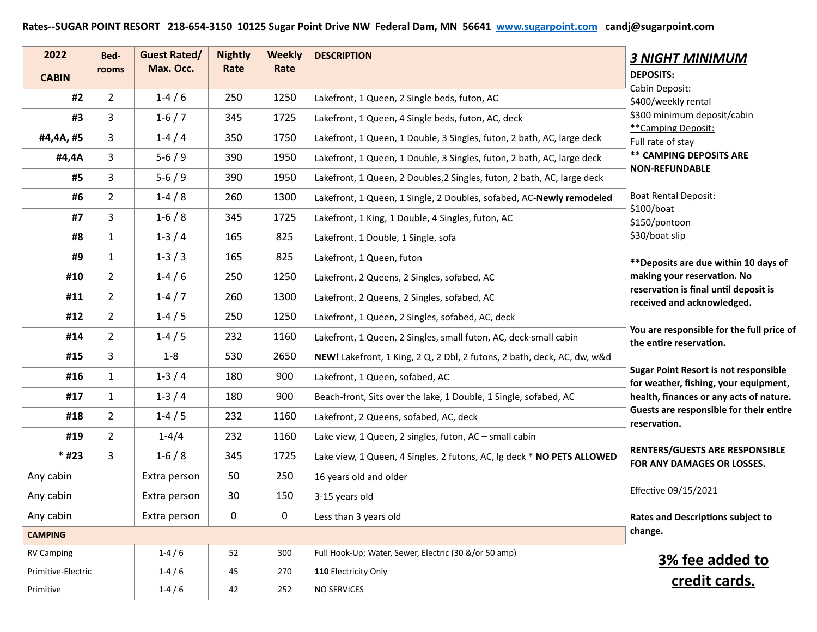## **Rates--SUGAR POINT RESORT 218-654-3150 10125 Sugar Point Drive NW Federal Dam, MN 56641 [www.sugarpoint.com](http://www.sugarpoint.com) candj@sugarpoint.com**

| 2022               | Bed-           | <b>Guest Rated/</b> | <b>Nightly</b> | <b>Weekly</b> | <b>DESCRIPTION</b>                                                      | <b>3 NIGHT MINIMUM</b>                                                                |
|--------------------|----------------|---------------------|----------------|---------------|-------------------------------------------------------------------------|---------------------------------------------------------------------------------------|
| <b>CABIN</b>       | rooms          | Max. Occ.           | Rate           | Rate          |                                                                         | <b>DEPOSITS:</b>                                                                      |
| #2                 | $\overline{2}$ | $1-4/6$             | 250            | 1250          | Lakefront, 1 Queen, 2 Single beds, futon, AC                            | Cabin Deposit:<br>\$400/weekly rental                                                 |
| #3                 | 3              | $1-6/7$             | 345            | 1725          | Lakefront, 1 Queen, 4 Single beds, futon, AC, deck                      | \$300 minimum deposit/cabin                                                           |
| #4,4A, #5          | 3              | $1-4/4$             | 350            | 1750          | Lakefront, 1 Queen, 1 Double, 3 Singles, futon, 2 bath, AC, large deck  | **Camping Deposit:<br>Full rate of stay                                               |
| #4,4A              | 3              | $5-6/9$             | 390            | 1950          | Lakefront, 1 Queen, 1 Double, 3 Singles, futon, 2 bath, AC, large deck  | <b>** CAMPING DEPOSITS ARE</b>                                                        |
| #5                 | 3              | $5-6/9$             | 390            | 1950          | Lakefront, 1 Queen, 2 Doubles, 2 Singles, futon, 2 bath, AC, large deck | <b>NON-REFUNDABLE</b>                                                                 |
| #6                 | $\overline{2}$ | $1-4/8$             | 260            | 1300          | Lakefront, 1 Queen, 1 Single, 2 Doubles, sofabed, AC-Newly remodeled    | <b>Boat Rental Deposit:</b>                                                           |
| #7                 | 3              | $1-6/8$             | 345            | 1725          | Lakefront, 1 King, 1 Double, 4 Singles, futon, AC                       | \$100/boat<br>\$150/pontoon                                                           |
| #8                 | $\mathbf{1}$   | $1-3/4$             | 165            | 825           | Lakefront, 1 Double, 1 Single, sofa                                     | \$30/boat slip                                                                        |
| #9                 | 1              | $1 - 3 / 3$         | 165            | 825           | Lakefront, 1 Queen, futon                                               | ** Deposits are due within 10 days of                                                 |
| #10                | $\overline{2}$ | $1-4/6$             | 250            | 1250          | Lakefront, 2 Queens, 2 Singles, sofabed, AC                             | making your reservation. No                                                           |
| #11                | $\overline{2}$ | $1-4/7$             | 260            | 1300          | Lakefront, 2 Queens, 2 Singles, sofabed, AC                             | reservation is final until deposit is<br>received and acknowledged.                   |
| #12                | $\overline{2}$ | $1-4/5$             | 250            | 1250          | Lakefront, 1 Queen, 2 Singles, sofabed, AC, deck                        |                                                                                       |
| #14                | $\overline{2}$ | $1-4/5$             | 232            | 1160          | Lakefront, 1 Queen, 2 Singles, small futon, AC, deck-small cabin        | You are responsible for the full price of<br>the entire reservation.                  |
| #15                | 3              | $1 - 8$             | 530            | 2650          | NEW! Lakefront, 1 King, 2 Q, 2 Dbl, 2 futons, 2 bath, deck, AC, dw, w&d |                                                                                       |
| #16                | $\mathbf{1}$   | $1-3/4$             | 180            | 900           | Lakefront, 1 Queen, sofabed, AC                                         | <b>Sugar Point Resort is not responsible</b><br>for weather, fishing, your equipment, |
| #17                | $\mathbf{1}$   | $1-3/4$             | 180            | 900           | Beach-front, Sits over the lake, 1 Double, 1 Single, sofabed, AC        | health, finances or any acts of nature.                                               |
| #18                | $\overline{2}$ | $1-4/5$             | 232            | 1160          | Lakefront, 2 Queens, sofabed, AC, deck                                  | Guests are responsible for their entire<br>reservation.                               |
| #19                | $\overline{2}$ | $1 - 4/4$           | 232            | 1160          | Lake view, 1 Queen, 2 singles, futon, AC - small cabin                  |                                                                                       |
| $*$ #23            | 3              | $1-6/8$             | 345            | 1725          | Lake view, 1 Queen, 4 Singles, 2 futons, AC, lg deck * NO PETS ALLOWED  | <b>RENTERS/GUESTS ARE RESPONSIBLE</b><br>FOR ANY DAMAGES OR LOSSES.                   |
| Any cabin          |                | Extra person        | 50             | 250           | 16 years old and older                                                  |                                                                                       |
| Any cabin          |                | Extra person        | 30             | 150           | 3-15 years old                                                          | Effective 09/15/2021                                                                  |
| Any cabin          |                | Extra person        | 0              | 0             | Less than 3 years old                                                   | <b>Rates and Descriptions subject to</b>                                              |
| <b>CAMPING</b>     |                |                     |                |               |                                                                         | change.                                                                               |
| <b>RV Camping</b>  |                | $1-4/6$             | 52             | 300           | Full Hook-Up; Water, Sewer, Electric (30 &/or 50 amp)                   | 3% fee added to                                                                       |
| Primitive-Electric |                | $1 - 4/6$           | 45             | 270           | 110 Electricity Only                                                    | credit cards.                                                                         |
| Primitive          |                | $1-4/6$             | 42             | 252           | <b>NO SERVICES</b>                                                      |                                                                                       |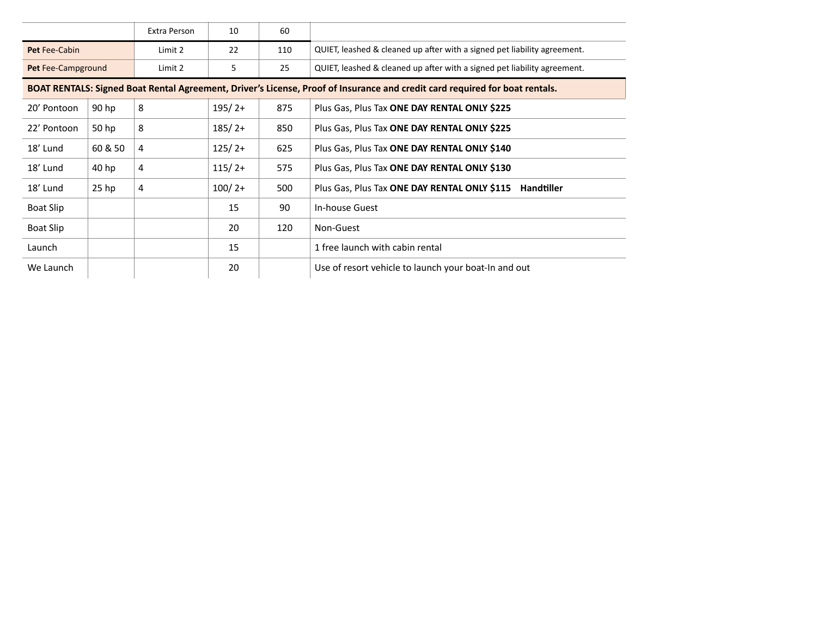|                                                                                                                             |         | Extra Person | 10       | 60  |                                                                          |  |
|-----------------------------------------------------------------------------------------------------------------------------|---------|--------------|----------|-----|--------------------------------------------------------------------------|--|
| <b>Pet Fee-Cabin</b>                                                                                                        |         | Limit 2      | 22       | 110 | QUIET, leashed & cleaned up after with a signed pet liability agreement. |  |
| Pet Fee-Campground                                                                                                          |         | Limit 2      | 5        | 25  | QUIET, leashed & cleaned up after with a signed pet liability agreement. |  |
| BOAT RENTALS: Signed Boat Rental Agreement, Driver's License, Proof of Insurance and credit card required for boat rentals. |         |              |          |     |                                                                          |  |
| 20' Pontoon                                                                                                                 | 90 hp   | 8            | $195/2+$ | 875 | Plus Gas, Plus Tax ONE DAY RENTAL ONLY \$225                             |  |
| 22' Pontoon                                                                                                                 | 50 hp   | 8            | $185/2+$ | 850 | Plus Gas, Plus Tax ONE DAY RENTAL ONLY \$225                             |  |
| 18' Lund                                                                                                                    | 60 & 50 | 4            | $125/2+$ | 625 | Plus Gas, Plus Tax ONE DAY RENTAL ONLY \$140                             |  |
| 18' Lund                                                                                                                    | 40 hp   | 4            | $115/2+$ | 575 | Plus Gas, Plus Tax ONE DAY RENTAL ONLY \$130                             |  |
| 18' Lund                                                                                                                    | $25$ hp | 4            | $100/2+$ | 500 | Plus Gas, Plus Tax ONE DAY RENTAL ONLY \$115<br><b>Handtiller</b>        |  |
| Boat Slip                                                                                                                   |         |              | 15       | 90  | In-house Guest                                                           |  |
| Boat Slip                                                                                                                   |         |              | 20       | 120 | Non-Guest                                                                |  |
| Launch                                                                                                                      |         |              | 15       |     | 1 free launch with cabin rental                                          |  |
| We Launch                                                                                                                   |         |              | 20       |     | Use of resort vehicle to launch your boat-In and out                     |  |
|                                                                                                                             |         |              |          |     |                                                                          |  |